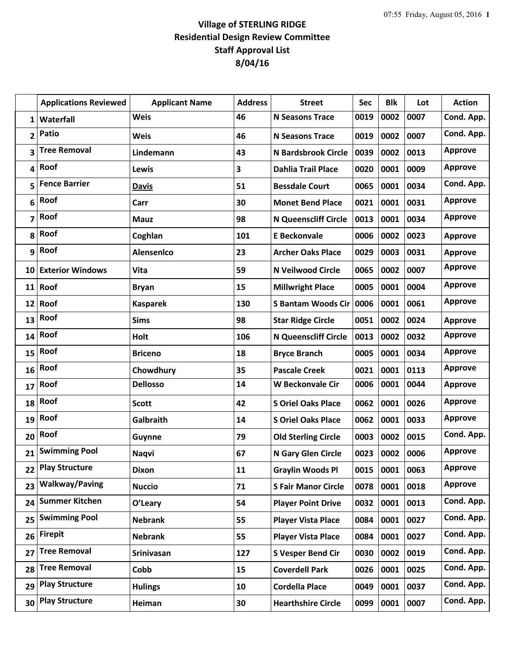## **Village of STERLING RIDGE Residential Design Review Committee Staff Approval List 8/04/16**

|              | <b>Applications Reviewed</b> | <b>Applicant Name</b> | <b>Address</b> | <b>Street</b>               | <b>Sec</b> | <b>Blk</b> | Lot  | <b>Action</b>  |
|--------------|------------------------------|-----------------------|----------------|-----------------------------|------------|------------|------|----------------|
| 1            | Waterfall                    | <b>Weis</b>           | 46             | <b>N Seasons Trace</b>      | 0019       | 0002       | 0007 | Cond. App.     |
| 2            | Patio                        | <b>Weis</b>           | 46             | <b>N Seasons Trace</b>      | 0019       | 0002       | 0007 | Cond. App.     |
| 3            | <b>Tree Removal</b>          | Lindemann             | 43             | N Bardsbrook Circle         | 0039       | 0002       | 0013 | <b>Approve</b> |
| 4            | Roof                         | Lewis                 | 3              | <b>Dahlia Trail Place</b>   | 0020       | 0001       | 0009 | <b>Approve</b> |
| 5            | <b>Fence Barrier</b>         | <b>Davis</b>          | 51             | <b>Bessdale Court</b>       | 0065       | 0001       | 0034 | Cond. App.     |
| 6            | Roof                         | Carr                  | 30             | <b>Monet Bend Place</b>     | 0021       | 0001       | 0031 | <b>Approve</b> |
| 7            | Roof                         | <b>Mauz</b>           | 98             | <b>N Queenscliff Circle</b> | 0013       | 0001       | 0034 | <b>Approve</b> |
| 8            | Roof                         | Coghlan               | 101            | <b>E</b> Beckonvale         | 0006       | 0002       | 0023 | <b>Approve</b> |
| $\mathbf{9}$ | Roof                         | <b>Alensenico</b>     | 23             | <b>Archer Oaks Place</b>    | 0029       | 0003       | 0031 | <b>Approve</b> |
| 10           | <b>Exterior Windows</b>      | <b>Vita</b>           | 59             | <b>N Veilwood Circle</b>    | 0065       | 0002       | 0007 | <b>Approve</b> |
|              | 11 Roof                      | <b>Bryan</b>          | 15             | <b>Millwright Place</b>     | 0005       | 0001       | 0004 | <b>Approve</b> |
| 12           | Roof                         | <b>Kasparek</b>       | 130            | <b>S Bantam Woods Cir</b>   | 0006       | 0001       | 0061 | <b>Approve</b> |
| 13           | Roof                         | <b>Sims</b>           | 98             | <b>Star Ridge Circle</b>    | 0051       | 0002       | 0024 | <b>Approve</b> |
| 14           | Roof                         | Holt                  | 106            | <b>N Queenscliff Circle</b> | 0013       | 0002       | 0032 | <b>Approve</b> |
| 15           | Roof                         | <b>Briceno</b>        | 18             | <b>Bryce Branch</b>         | 0005       | 0001       | 0034 | <b>Approve</b> |
| 16           | Roof                         | Chowdhury             | 35             | <b>Pascale Creek</b>        | 0021       | 0001       | 0113 | <b>Approve</b> |
| 17           | Roof                         | <b>Dellosso</b>       | 14             | <b>W Beckonvale Cir</b>     | 0006       | 0001       | 0044 | <b>Approve</b> |
| 18           | Roof                         | <b>Scott</b>          | 42             | <b>S Oriel Oaks Place</b>   | 0062       | 0001       | 0026 | <b>Approve</b> |
| 19           | Roof                         | <b>Galbraith</b>      | 14             | <b>S Oriel Oaks Place</b>   | 0062       | 0001       | 0033 | <b>Approve</b> |
| 20           | Roof                         | Guynne                | 79             | <b>Old Sterling Circle</b>  | 0003       | 0002       | 0015 | Cond. App.     |
| 21           | <b>Swimming Pool</b>         | <b>Naqvi</b>          | 67             | N Gary Glen Circle          | 0023       | 0002       | 0006 | <b>Approve</b> |
| 22           | <b>Play Structure</b>        | <b>Dixon</b>          | 11             | <b>Graylin Woods Pl</b>     | 0015       | 0001       | 0063 | <b>Approve</b> |
| 23           | <b>Walkway/Paving</b>        | <b>Nuccio</b>         | 71             | <b>S Fair Manor Circle</b>  | 0078       | 0001       | 0018 | <b>Approve</b> |
| 24           | <b>Summer Kitchen</b>        | O'Leary               | 54             | <b>Player Point Drive</b>   | 0032       | 0001       | 0013 | Cond. App.     |
| 25           | <b>Swimming Pool</b>         | <b>Nebrank</b>        | 55             | <b>Player Vista Place</b>   | 0084       | 0001       | 0027 | Cond. App.     |
| 26           | <b>Firepit</b>               | <b>Nebrank</b>        | 55             | <b>Player Vista Place</b>   | 0084       | 0001       | 0027 | Cond. App.     |
| 27           | <b>Tree Removal</b>          | Srinivasan            | 127            | <b>S Vesper Bend Cir</b>    | 0030       | 0002       | 0019 | Cond. App.     |
| 28           | <b>Tree Removal</b>          | Cobb                  | 15             | <b>Coverdell Park</b>       | 0026       | 0001       | 0025 | Cond. App.     |
| 29           | <b>Play Structure</b>        | <b>Hulings</b>        | 10             | <b>Cordella Place</b>       | 0049       | 0001       | 0037 | Cond. App.     |
| 30           | <b>Play Structure</b>        | Heiman                | 30             | <b>Hearthshire Circle</b>   | 0099       | 0001       | 0007 | Cond. App.     |